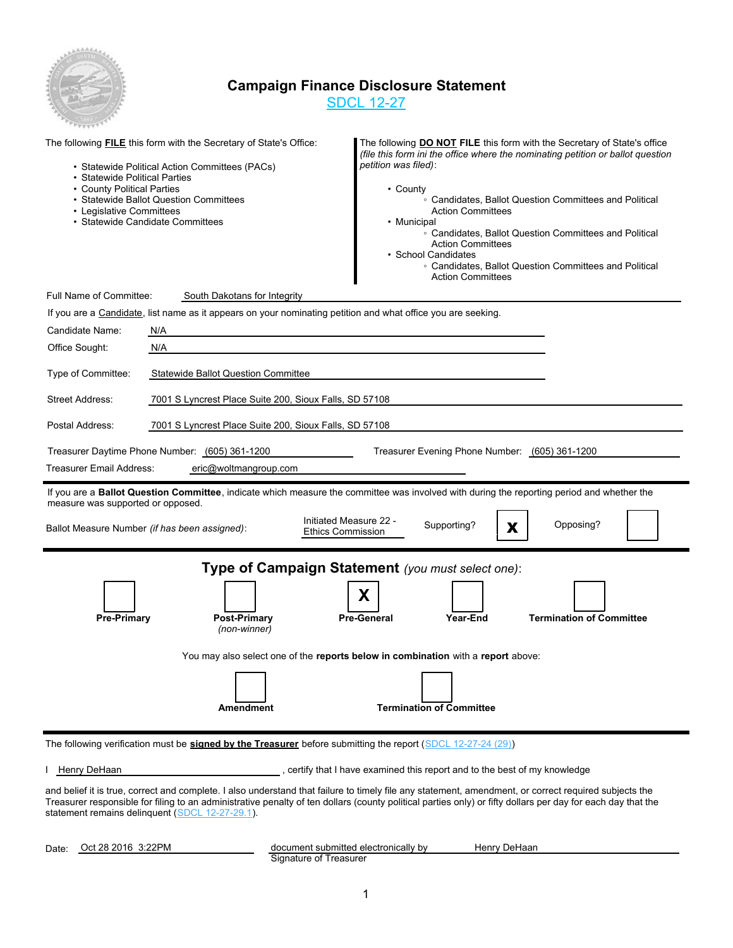

## **Campaign Finance Disclosure Statement**

SDCL 12-27

| • Statewide Political Parties<br>• County Political Parties<br>• Legislative Committees | The following <b>FILE</b> this form with the Secretary of State's Office:<br>• Statewide Political Action Committees (PACs)<br>• Statewide Ballot Question Committees<br>• Statewide Candidate Committees | The following <b>DO NOT FILE</b> this form with the Secretary of State's office<br>(file this form ini the office where the nominating petition or ballot question<br>petition was filed):<br>• County<br>• Candidates, Ballot Question Committees and Political<br><b>Action Committees</b><br>• Municipal<br>• Candidates, Ballot Question Committees and Political<br><b>Action Committees</b><br>· School Candidates<br>• Candidates, Ballot Question Committees and Political<br><b>Action Committees</b> |
|-----------------------------------------------------------------------------------------|-----------------------------------------------------------------------------------------------------------------------------------------------------------------------------------------------------------|----------------------------------------------------------------------------------------------------------------------------------------------------------------------------------------------------------------------------------------------------------------------------------------------------------------------------------------------------------------------------------------------------------------------------------------------------------------------------------------------------------------|
| Full Name of Committee:                                                                 | South Dakotans for Integrity                                                                                                                                                                              |                                                                                                                                                                                                                                                                                                                                                                                                                                                                                                                |
|                                                                                         | If you are a Candidate, list name as it appears on your nominating petition and what office you are seeking.                                                                                              |                                                                                                                                                                                                                                                                                                                                                                                                                                                                                                                |
| Candidate Name:                                                                         | N/A                                                                                                                                                                                                       |                                                                                                                                                                                                                                                                                                                                                                                                                                                                                                                |
| Office Sought:                                                                          | N/A                                                                                                                                                                                                       |                                                                                                                                                                                                                                                                                                                                                                                                                                                                                                                |
| Type of Committee:                                                                      | <b>Statewide Ballot Question Committee</b>                                                                                                                                                                |                                                                                                                                                                                                                                                                                                                                                                                                                                                                                                                |
| Street Address:                                                                         | 7001 S Lyncrest Place Suite 200, Sioux Falls, SD 57108                                                                                                                                                    |                                                                                                                                                                                                                                                                                                                                                                                                                                                                                                                |
| Postal Address:                                                                         | 7001 S Lyncrest Place Suite 200, Sioux Falls, SD 57108                                                                                                                                                    |                                                                                                                                                                                                                                                                                                                                                                                                                                                                                                                |
| Treasurer Email Address:                                                                | Treasurer Daytime Phone Number: (605) 361-1200<br>eric@woltmangroup.com                                                                                                                                   | Treasurer Evening Phone Number: (605) 361-1200                                                                                                                                                                                                                                                                                                                                                                                                                                                                 |
|                                                                                         |                                                                                                                                                                                                           | If you are a Ballot Question Committee, indicate which measure the committee was involved with during the reporting period and whether the                                                                                                                                                                                                                                                                                                                                                                     |
| measure was supported or opposed.                                                       | Ballot Measure Number (if has been assigned):                                                                                                                                                             | Initiated Measure 22 -<br>Opposing?<br>Supporting?<br>X<br><b>Ethics Commission</b>                                                                                                                                                                                                                                                                                                                                                                                                                            |
| <b>Pre-Primary</b>                                                                      | <b>Post-Primary</b><br>(non-winner)<br><b>Amendment</b>                                                                                                                                                   | Type of Campaign Statement (you must select one):<br>х<br><b>Termination of Committee</b><br>Year-End<br><b>Pre-General</b><br>You may also select one of the reports below in combination with a report above:<br><b>Termination of Committee</b>                                                                                                                                                                                                                                                             |
|                                                                                         | The following verification must be signed by the Treasurer before submitting the report (SDCL 12-27-24 (29))                                                                                              |                                                                                                                                                                                                                                                                                                                                                                                                                                                                                                                |
| Henry DeHaan                                                                            |                                                                                                                                                                                                           | , certify that I have examined this report and to the best of my knowledge                                                                                                                                                                                                                                                                                                                                                                                                                                     |
|                                                                                         |                                                                                                                                                                                                           |                                                                                                                                                                                                                                                                                                                                                                                                                                                                                                                |

and belief it is true, correct and complete. I also understand that failure to timely file any statement, amendment, or correct required subjects the Treasurer responsible for filing to an administrative penalty of ten dollars (county political parties only) or fifty dollars per day for each day that the statement remains delinquent (SDCL 12-27-29.1).

Date: Oct 28 2016 3:22PM

Signature of Treasurer document submitted electronically by Henry DeHaan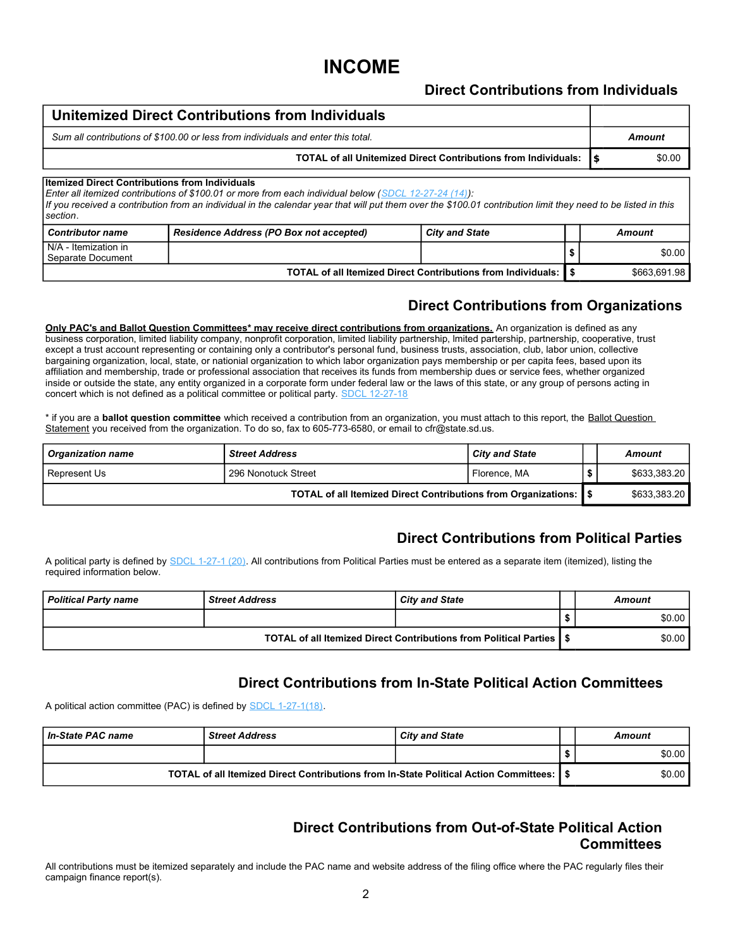## **INCOME**

#### **Direct Contributions from Individuals**

#### **Unitemized Direct Contributions from Individuals** *Sum all contributions of \$100.00 or less from individuals and enter this total. Amount* **TOTAL of all Unitemized Direct Contributions from Individuals:**  $\frac{1}{5}$  **\$0.00** *Contributor name Residence Address (PO Box not accepted) City and State Amount* **Itemized Direct Contributions from Individuals**  *Enter all itemized contributions of \$100.01 or more from each individual below (SDCL 12-27-24 (14)): If you received a contribution from an individual in the calendar year that will put them over the \$100.01 contribution limit they need to be listed in this section*. N/A - Itemization in Separate Document **\$** \$0.00 **TOTAL of all Itemized Direct Contributions from Individuals: \$** \$663,691.98

#### **Direct Contributions from Organizations**

**Only PAC's and Ballot Question Committees\* may receive direct contributions from organizations.** An organization is defined as any business corporation, limited liability company, nonprofit corporation, limited liability partnership, lmited partership, partnership, cooperative, trust except a trust account representing or containing only a contributor's personal fund, business trusts, association, club, labor union, collective bargaining organization, local, state, or nationial organization to which labor organization pays membership or per capita fees, based upon its affiliation and membership, trade or professional association that receives its funds from membership dues or service fees, whether organized inside or outside the state, any entity organized in a corporate form under federal law or the laws of this state, or any group of persons acting in concert which is not defined as a political committee or political party. SDCL 12-27-18

\* if you are a **ballot question committee** which received a contribution from an organization, you must attach to this report, the Ballot Question Statement you received from the organization. To do so, fax to 605-773-6580, or email to cfr@state.sd.us.

| <b>Organization name</b>                                            | <b>Street Address</b> | <b>City and State</b> | Amount       |
|---------------------------------------------------------------------|-----------------------|-----------------------|--------------|
| l Represent Us                                                      | 296 Nonotuck Street   | Florence, MA          | \$633,383.20 |
| TOTAL of all Itemized Direct Contributions from Organizations:   \$ |                       | \$633.383.20          |              |

#### **Direct Contributions from Political Parties**

A political party is defined by SDCL 1-27-1 (20). All contributions from Political Parties must be entered as a separate item (itemized), listing the required information below.

| <b>Political Party name</b> | <b>Street Address</b> | <b>City and State</b>                                                  | Amount |
|-----------------------------|-----------------------|------------------------------------------------------------------------|--------|
|                             |                       |                                                                        | \$0.00 |
|                             |                       | TOTAL of all Itemized Direct Contributions from Political Parties   \$ | \$0.00 |

#### **Direct Contributions from In-State Political Action Committees**

A political action committee (PAC) is defined by SDCL 1-27-1(18).

| In-State PAC name | <b>Street Address</b>                                                                      | <b>City and State</b> | Amount |
|-------------------|--------------------------------------------------------------------------------------------|-----------------------|--------|
|                   |                                                                                            |                       | \$0.00 |
|                   | TOTAL of all Itemized Direct Contributions from In-State Political Action Committees:   \$ |                       | \$0.00 |

#### **Direct Contributions from Out-of-State Political Action Committees**

All contributions must be itemized separately and include the PAC name and website address of the filing office where the PAC regularly files their campaign finance report(s).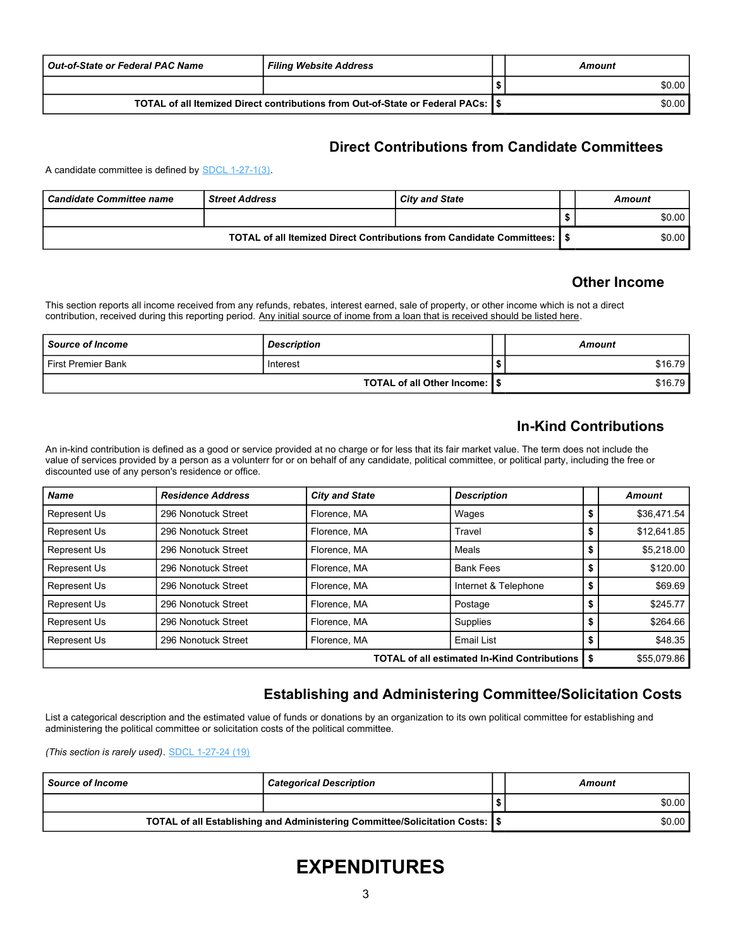| <b>Out-of-State or Federal PAC Name</b> | <b>Filing Website Address</b>                                                     | Amount |
|-----------------------------------------|-----------------------------------------------------------------------------------|--------|
|                                         |                                                                                   | \$0.00 |
|                                         | TOTAL of all Itemized Direct contributions from Out-of-State or Federal PACs: 1\$ | \$0.00 |

#### **Direct Contributions from Candidate Committees**

A candidate committee is defined by SDCL 1-27-1(3).

| <b>Candidate Committee name</b>                                                | <b>Street Address</b> | <b>City and State</b> | Amount |
|--------------------------------------------------------------------------------|-----------------------|-----------------------|--------|
|                                                                                |                       |                       | \$0.00 |
| <b>TOTAL of all Itemized Direct Contributions from Candidate Committees: [</b> |                       |                       | \$0.00 |

#### **Other Income**

This section reports all income received from any refunds, rebates, interest earned, sale of property, or other income which is not a direct contribution, received during this reporting period. Any initial source of inome from a loan that is received should be listed here.

| Source of Income               | <b>Description</b> | <b>Amount</b> |
|--------------------------------|--------------------|---------------|
| l First Premier Bank           | Interest           | \$16.79 l     |
| TOTAL of all Other Income: 1\$ |                    | \$16.79       |

#### **In-Kind Contributions**

An in-kind contribution is defined as a good or service provided at no charge or for less that its fair market value. The term does not include the value of services provided by a person as a volunterr for or on behalf of any candidate, political committee, or political party, including the free or discounted use of any person's residence or office.

| Name         | <b>Residence Address</b>                              | <b>City and State</b> | <b>Description</b>   |    | Amount      |
|--------------|-------------------------------------------------------|-----------------------|----------------------|----|-------------|
| Represent Us | 296 Nonotuck Street                                   | Florence, MA          | Wages                | P  | \$36,471.54 |
| Represent Us | 296 Nonotuck Street                                   | Florence, MA          | Travel               |    | \$12,641.85 |
| Represent Us | 296 Nonotuck Street                                   | Florence, MA          | Meals                | \$ | \$5,218.00  |
| Represent Us | 296 Nonotuck Street                                   | Florence, MA          | <b>Bank Fees</b>     |    | \$120.00    |
| Represent Us | 296 Nonotuck Street                                   | Florence, MA          | Internet & Telephone | \$ | \$69.69     |
| Represent Us | 296 Nonotuck Street                                   | Florence, MA          | Postage              |    | \$245.77    |
| Represent Us | 296 Nonotuck Street                                   | Florence, MA          | Supplies             |    | \$264.66    |
| Represent Us | 296 Nonotuck Street                                   | Florence, MA          | Email List           |    | \$48.35     |
|              | <b>TOTAL of all estimated In-Kind Contributions  </b> | \$55,079.86           |                      |    |             |

#### **Establishing and Administering Committee/Solicitation Costs**

List a categorical description and the estimated value of funds or donations by an organization to its own political committee for establishing and administering the political committee or solicitation costs of the political committee.

*(This section is rarely used)*. SDCL 1-27-24 (19)

| l Source of Income | Categorical Description                                                        | Amount |
|--------------------|--------------------------------------------------------------------------------|--------|
|                    |                                                                                | \$0.00 |
|                    | TOTAL of all Establishing and Administering Committee/Solicitation Costs:   \$ | \$0.00 |

# **EXPENDITURES**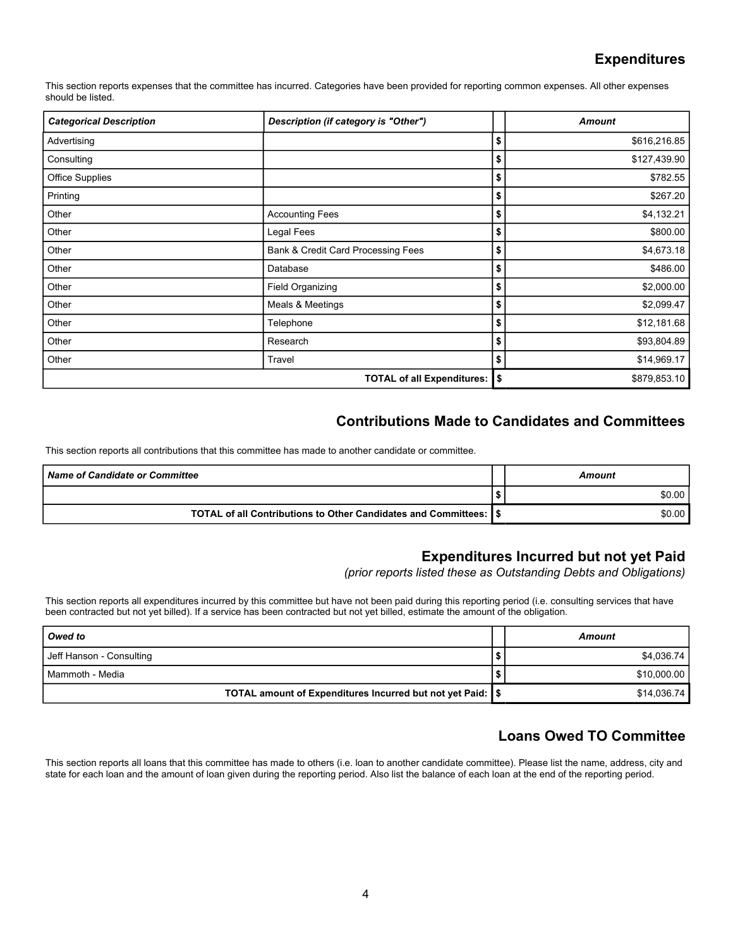#### **Expenditures**

This section reports expenses that the committee has incurred. Categories have been provided for reporting common expenses. All other expenses should be listed.

| <b>Categorical Description</b> | Description (if category is "Other") | <b>Amount</b>      |
|--------------------------------|--------------------------------------|--------------------|
| Advertising                    |                                      | \$<br>\$616,216.85 |
| Consulting                     |                                      | \$<br>\$127,439.90 |
| Office Supplies                |                                      | \$<br>\$782.55     |
| Printing                       |                                      | \$<br>\$267.20     |
| Other                          | <b>Accounting Fees</b>               | \$<br>\$4,132.21   |
| Other                          | Legal Fees                           | \$<br>\$800.00     |
| Other                          | Bank & Credit Card Processing Fees   | \$<br>\$4,673.18   |
| Other                          | Database                             | \$<br>\$486.00     |
| Other                          | Field Organizing                     | \$<br>\$2,000.00   |
| Other                          | Meals & Meetings                     | \$<br>\$2,099.47   |
| Other                          | Telephone                            | \$<br>\$12,181.68  |
| Other                          | Research                             | \$<br>\$93,804.89  |
| Other                          | Travel                               | \$<br>\$14,969.17  |
|                                | <b>TOTAL of all Expenditures:</b>    | \$<br>\$879,853.10 |

#### **Contributions Made to Candidates and Committees**

This section reports all contributions that this committee has made to another candidate or committee.

| Name of Candidate or Committee                                     |  | Amount |
|--------------------------------------------------------------------|--|--------|
|                                                                    |  | \$0.00 |
| TOTAL of all Contributions to Other Candidates and Committees: 1\$ |  | \$0.00 |

#### **Expenditures Incurred but not yet Paid**

*(prior reports listed these as Outstanding Debts and Obligations)*

This section reports all expenditures incurred by this committee but have not been paid during this reporting period (i.e. consulting services that have been contracted but not yet billed). If a service has been contracted but not yet billed, estimate the amount of the obligation.

| Owed to                                                               |   | Amount      |
|-----------------------------------------------------------------------|---|-------------|
| Jeff Hanson - Consulting                                              | ີ | \$4.036.74  |
| l Mammoth - Media                                                     |   | \$10,000.00 |
| TOTAL amount of Expenditures Incurred but not yet Paid: $\frac{1}{3}$ |   | \$14.036.74 |

#### **Loans Owed TO Committee**

This section reports all loans that this committee has made to others (i.e. loan to another candidate committee). Please list the name, address, city and state for each loan and the amount of loan given during the reporting period. Also list the balance of each loan at the end of the reporting period.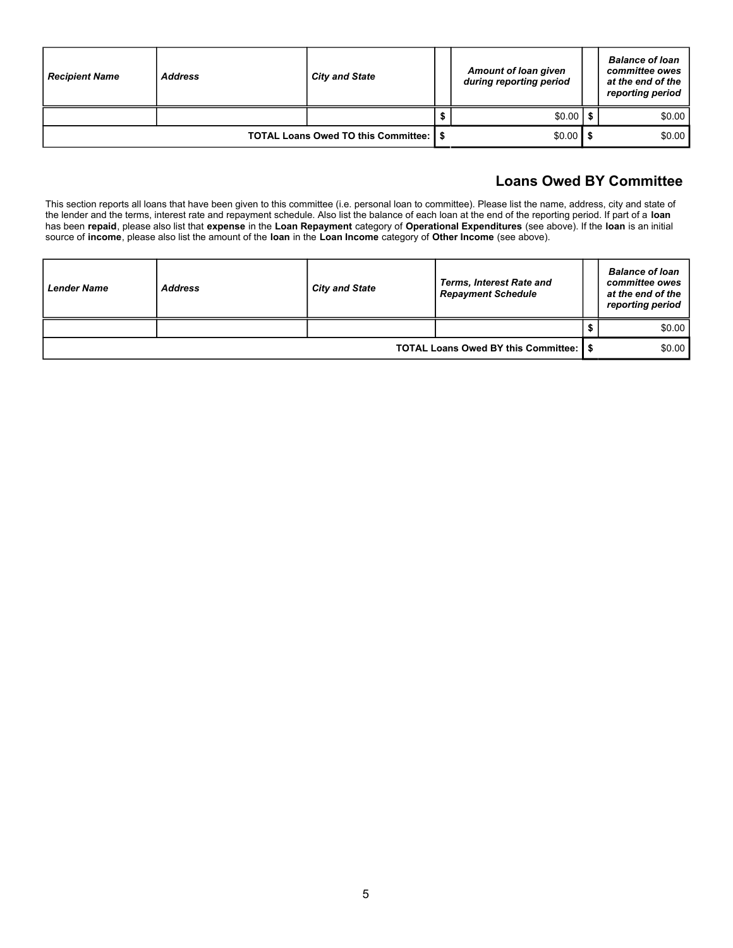| <b>Recipient Name</b> | <b>Address</b> | <b>City and State</b>                   | <b>Amount of loan given</b><br>during reporting period | <b>Balance of loan</b><br>committee owes<br>at the end of the<br>reporting period |
|-----------------------|----------------|-----------------------------------------|--------------------------------------------------------|-----------------------------------------------------------------------------------|
|                       |                |                                         | $$0.00$   \$                                           | \$0.00                                                                            |
|                       |                | TOTAL Loans Owed TO this Committee: 1\$ | $$0.00$   \$                                           | \$0.00                                                                            |

### **Loans Owed BY Committee**

This section reports all loans that have been given to this committee (i.e. personal loan to committee). Please list the name, address, city and state of the lender and the terms, interest rate and repayment schedule. Also list the balance of each loan at the end of the reporting period. If part of a **loan** has been **repaid**, please also list that **expense** in the **Loan Repayment** category of **Operational Expenditures** (see above). If the **loan** is an initial source of **income**, please also list the amount of the **loan** in the **Loan Income** category of **Other Income** (see above).

| Lender Name | <b>Address</b>                          | <b>City and State</b> | <b>Terms, Interest Rate and</b><br><b>Repayment Schedule</b> |  | <b>Balance of loan</b><br>committee owes<br>at the end of the<br>reporting period |
|-------------|-----------------------------------------|-----------------------|--------------------------------------------------------------|--|-----------------------------------------------------------------------------------|
|             |                                         |                       |                                                              |  | \$0.00                                                                            |
|             | TOTAL Loans Owed BY this Committee: 1\$ | \$0.00                |                                                              |  |                                                                                   |